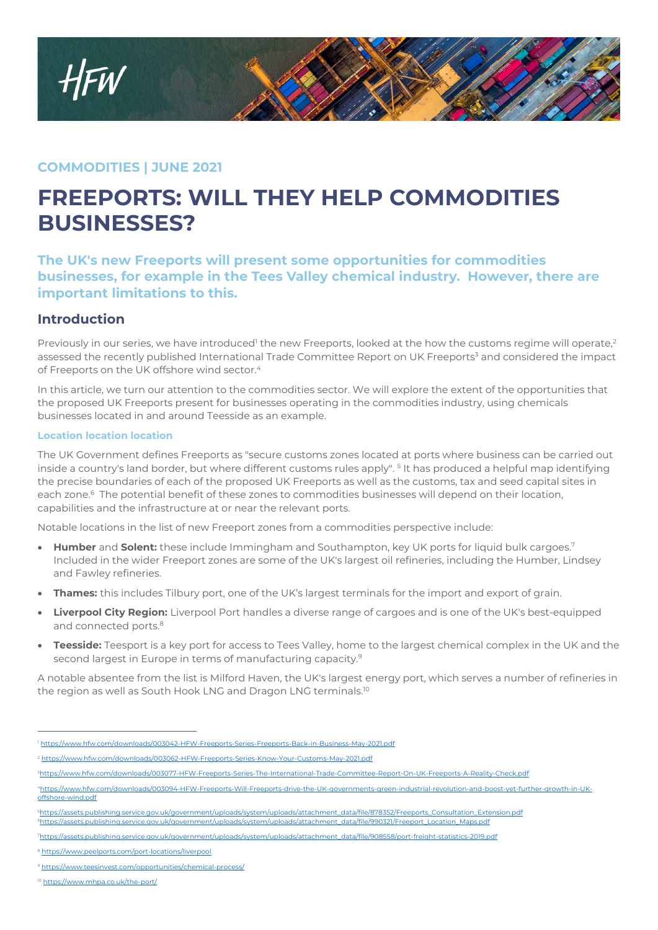

## **COMMODITIES | JUNE 2021**

# **FREEPORTS: WILL THEY HELP COMMODITIES BUSINESSES?**

**The UK's new Freeports will present some opportunities for commodities businesses, for example in the Tees Valley chemical industry. However, there are important limitations to this.** 

### **Introduction**

Previously in our series, we have introduced<sup>1</sup> the new Freeports, looked at the how the customs regime will operate,<sup>2</sup> assessed the recently published International Trade Committee Report on UK Freeports<sup>3</sup> and considered the impact of Freeports on the UK offshore wind sector.<sup>4</sup>

In this article, we turn our attention to the commodities sector. We will explore the extent of the opportunities that the proposed UK Freeports present for businesses operating in the commodities industry, using chemicals businesses located in and around Teesside as an example.

#### **Location location location**

The UK Government defines Freeports as "secure customs zones located at ports where business can be carried out inside a country's land border, but where different customs rules apply". 5 It has produced a helpful map identifying the precise boundaries of each of the proposed UK Freeports as well as the customs, tax and seed capital sites in each zone.<sup>6</sup> The potential benefit of these zones to commodities businesses will depend on their location, capabilities and the infrastructure at or near the relevant ports.

Notable locations in the list of new Freeport zones from a commodities perspective include:

- **Humber** and **Solent:** these include Immingham and Southampton, key UK ports for liquid bulk cargoes.<sup>7</sup> Included in the wider Freeport zones are some of the UK's largest oil refineries, including the Humber, Lindsey and Fawley refineries.
- **Thames:** this includes Tilbury port, one of the UK's largest terminals for the import and export of grain.
- **Liverpool City Region:** Liverpool Port handles a diverse range of cargoes and is one of the UK's best-equipped and connected ports.<sup>8</sup>
- **Teesside:** Teesport is a key port for access to Tees Valley, home to the largest chemical complex in the UK and the second largest in Europe in terms of manufacturing capacity.<sup>9</sup>

A notable absentee from the list is Milford Haven, the UK's largest energy port, which serves a number of refineries in the region as well as South Hook LNG and Dragon LNG terminals.<sup>10</sup>

 $\overline{a}$ <sup>1</sup> https://www.hfw.com/downloads/003042-HFW-Freeports-Series-Freeports-Back-in-Business-May-2021.pdf

<sup>2</sup> https://www.hfw.com/downloads/003062-HFW-Freeports-Series-Know-Your-Customs-May-2021.pdf

<sup>3</sup>https://www.hfw.com/downloads/003077-HFW-Freeports-Series-The-International-Trade-Committee-Report-On-UK-Freeports-A-Reality-Check.pdf

<sup>4</sup>https://www.hfw.com/downloads/003094-HFW-Freeports-Will-Freeports-drive-the-UK-governments-green-industrial-revolution-and-boost-yet-further-growth-in-UKoffshore-wind.pdf

<sup>5</sup>https://assets.publishing.service.gov.uk/government/uploads/system/uploads/attachment\_data/file/878352/Freeports\_Consultation\_Extension.pdf https://ads/system/uploads/attachment\_data/file/990321/Freeport\_Location\_Maps.pdf

<sup>7</sup>https://assets.publishing.service.gov.uk/government/uploads/system/uploads/attachment\_data/file/908558/port-freight-statistics-2019.pdf

<sup>8</sup> https://www.peelports.com/port-locations/liverpool

<sup>9</sup> https://www.teesinvest.com/opportunities/chemical-process/

<sup>10</sup> https://www.mhpa.co.uk/the-port/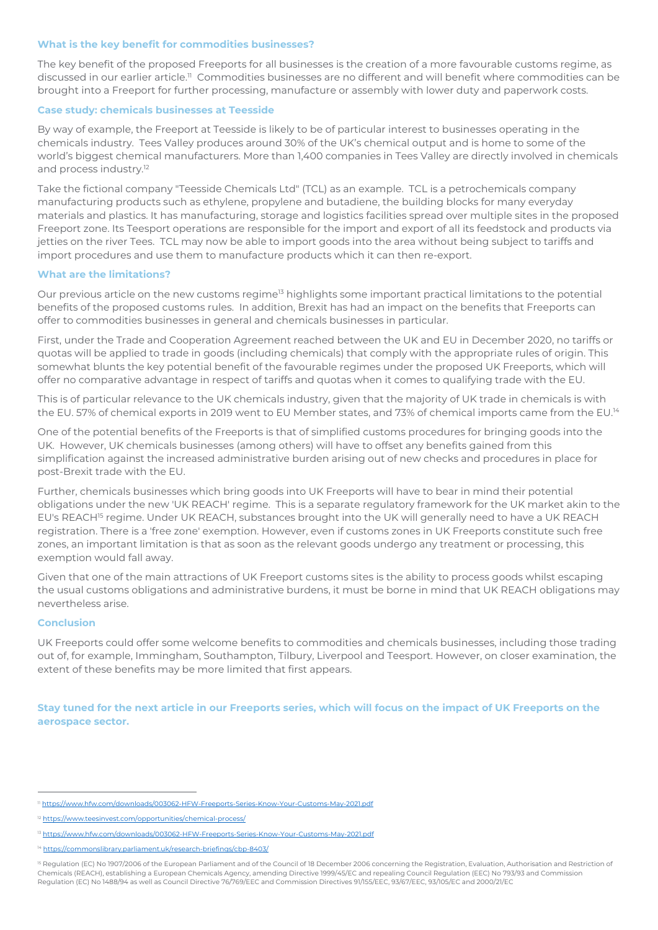#### **What is the key benefit for commodities businesses?**

The key benefit of the proposed Freeports for all businesses is the creation of a more favourable customs regime, as discussed in our earlier article.<sup>11</sup> Commodities businesses are no different and will benefit where commodities can be brought into a Freeport for further processing, manufacture or assembly with lower duty and paperwork costs.

#### **Case study: chemicals businesses at Teesside**

By way of example, the Freeport at Teesside is likely to be of particular interest to businesses operating in the chemicals industry. Tees Valley produces around 30% of the UK's chemical output and is home to some of the world's biggest chemical manufacturers. More than 1,400 companies in Tees Valley are directly involved in chemicals and process industry.<sup>12</sup>

Take the fictional company "Teesside Chemicals Ltd" (TCL) as an example. TCL is a petrochemicals company manufacturing products such as ethylene, propylene and butadiene, the building blocks for many everyday materials and plastics. It has manufacturing, storage and logistics facilities spread over multiple sites in the proposed Freeport zone. Its Teesport operations are responsible for the import and export of all its feedstock and products via jetties on the river Tees. TCL may now be able to import goods into the area without being subject to tariffs and import procedures and use them to manufacture products which it can then re-export.

#### **What are the limitations?**

Our previous article on the new customs regime<sup>13</sup> highlights some important practical limitations to the potential benefits of the proposed customs rules. In addition, Brexit has had an impact on the benefits that Freeports can offer to commodities businesses in general and chemicals businesses in particular.

First, under the Trade and Cooperation Agreement reached between the UK and EU in December 2020, no tariffs or quotas will be applied to trade in goods (including chemicals) that comply with the appropriate rules of origin. This somewhat blunts the key potential benefit of the favourable regimes under the proposed UK Freeports, which will offer no comparative advantage in respect of tariffs and quotas when it comes to qualifying trade with the EU.

This is of particular relevance to the UK chemicals industry, given that the majority of UK trade in chemicals is with the EU. 57% of chemical exports in 2019 went to EU Member states, and 73% of chemical imports came from the EU.<sup>14</sup>

One of the potential benefits of the Freeports is that of simplified customs procedures for bringing goods into the UK. However, UK chemicals businesses (among others) will have to offset any benefits gained from this simplification against the increased administrative burden arising out of new checks and procedures in place for post-Brexit trade with the EU.

Further, chemicals businesses which bring goods into UK Freeports will have to bear in mind their potential obligations under the new 'UK REACH' regime. This is a separate regulatory framework for the UK market akin to the EU's REACH<sup>15</sup> regime. Under UK REACH, substances brought into the UK will generally need to have a UK REACH registration. There is a 'free zone' exemption. However, even if customs zones in UK Freeports constitute such free zones, an important limitation is that as soon as the relevant goods undergo any treatment or processing, this exemption would fall away.

Given that one of the main attractions of UK Freeport customs sites is the ability to process goods whilst escaping the usual customs obligations and administrative burdens, it must be borne in mind that UK REACH obligations may nevertheless arise.

#### **Conclusion**

 $\overline{a}$ 

UK Freeports could offer some welcome benefits to commodities and chemicals businesses, including those trading out of, for example, Immingham, Southampton, Tilbury, Liverpool and Teesport. However, on closer examination, the extent of these benefits may be more limited that first appears.

**Stay tuned for the next article in our Freeports series, which will focus on the impact of UK Freeports on the aerospace sector.**

<sup>11</sup> https://www.hfw.com/downloads/003062-HFW-Freeports-Series-Know-Your-Customs-May-2021.pdf

<sup>12</sup> https://www.teesinvest.com/opportunities/chemical-process/

<sup>13</sup> https://www.hfw.com/downloads/003062-HFW-Freeports-Series-Know-Your-Customs-May-2021.pdf

<sup>14</sup> https://commonslibrary.parliament.uk/research-briefings/cbp-8403/

<sup>&</sup>lt;sup>15</sup> Regulation (EC) No 1907/2006 of the European Parliament and of the Council of 18 December 2006 concerning the Registration, Evaluation, Authorisation and Restriction of Chemicals (REACH), establishing a European Chemicals Agency, amending Directive 1999/45/EC and repealing Council Regulation (EEC) No 793/93 and Commission Regulation (EC) No 1488/94 as well as Council Directive 76/769/EEC and Commission Directives 91/155/EEC, 93/67/EEC, 93/105/EC and 2000/21/EC